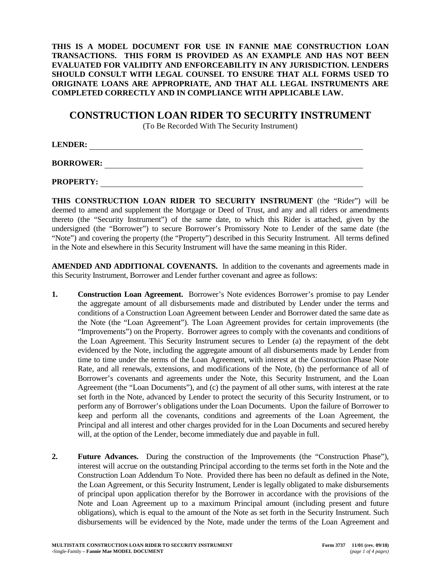**THIS IS A MODEL DOCUMENT FOR USE IN FANNIE MAE CONSTRUCTION LOAN TRANSACTIONS. THIS FORM IS PROVIDED AS AN EXAMPLE AND HAS NOT BEEN EVALUATED FOR VALIDITY AND ENFORCEABILITY IN ANY JURISDICTION. LENDERS SHOULD CONSULT WITH LEGAL COUNSEL TO ENSURE THAT ALL FORMS USED TO ORIGINATE LOANS ARE APPROPRIATE, AND THAT ALL LEGAL INSTRUMENTS ARE COMPLETED CORRECTLY AND IN COMPLIANCE WITH APPLICABLE LAW.**

## **CONSTRUCTION LOAN RIDER TO SECURITY INSTRUMENT**

(To Be Recorded With The Security Instrument)

**LENDER:** 

**BORROWER:** 

**PROPERTY:** 

**THIS CONSTRUCTION LOAN RIDER TO SECURITY INSTRUMENT** (the "Rider") will be deemed to amend and supplement the Mortgage or Deed of Trust, and any and all riders or amendments thereto (the "Security Instrument") of the same date, to which this Rider is attached, given by the undersigned (the "Borrower") to secure Borrower's Promissory Note to Lender of the same date (the "Note") and covering the property (the "Property") described in this Security Instrument. All terms defined in the Note and elsewhere in this Security Instrument will have the same meaning in this Rider.

**AMENDED AND ADDITIONAL COVENANTS.** In addition to the covenants and agreements made in this Security Instrument, Borrower and Lender further covenant and agree as follows:

- **1. Construction Loan Agreement.** Borrower's Note evidences Borrower's promise to pay Lender the aggregate amount of all disbursements made and distributed by Lender under the terms and conditions of a Construction Loan Agreement between Lender and Borrower dated the same date as the Note (the "Loan Agreement"). The Loan Agreement provides for certain improvements (the "Improvements") on the Property. Borrower agrees to comply with the covenants and conditions of the Loan Agreement. This Security Instrument secures to Lender (a) the repayment of the debt evidenced by the Note, including the aggregate amount of all disbursements made by Lender from time to time under the terms of the Loan Agreement, with interest at the Construction Phase Note Rate, and all renewals, extensions, and modifications of the Note, (b) the performance of all of Borrower's covenants and agreements under the Note, this Security Instrument, and the Loan Agreement (the "Loan Documents"), and (c) the payment of all other sums, with interest at the rate set forth in the Note, advanced by Lender to protect the security of this Security Instrument, or to perform any of Borrower's obligations under the Loan Documents. Upon the failure of Borrower to keep and perform all the covenants, conditions and agreements of the Loan Agreement, the Principal and all interest and other charges provided for in the Loan Documents and secured hereby will, at the option of the Lender, become immediately due and payable in full.
- **2. Future Advances.** During the construction of the Improvements (the "Construction Phase"), interest will accrue on the outstanding Principal according to the terms set forth in the Note and the Construction Loan Addendum To Note. Provided there has been no default as defined in the Note, the Loan Agreement, or this Security Instrument, Lender is legally obligated to make disbursements of principal upon application therefor by the Borrower in accordance with the provisions of the Note and Loan Agreement up to a maximum Principal amount (including present and future obligations), which is equal to the amount of the Note as set forth in the Security Instrument. Such disbursements will be evidenced by the Note, made under the terms of the Loan Agreement and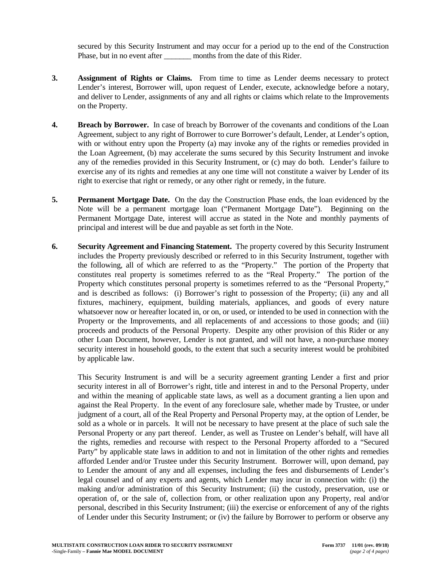secured by this Security Instrument and may occur for a period up to the end of the Construction Phase, but in no event after \_\_\_\_\_\_\_\_ months from the date of this Rider.

- **3. Assignment of Rights or Claims.** From time to time as Lender deems necessary to protect Lender's interest, Borrower will, upon request of Lender, execute, acknowledge before a notary, and deliver to Lender, assignments of any and all rights or claims which relate to the Improvements on the Property.
- **4. Breach by Borrower.** In case of breach by Borrower of the covenants and conditions of the Loan Agreement, subject to any right of Borrower to cure Borrower's default, Lender, at Lender's option, with or without entry upon the Property (a) may invoke any of the rights or remedies provided in the Loan Agreement, (b) may accelerate the sums secured by this Security Instrument and invoke any of the remedies provided in this Security Instrument, or (c) may do both. Lender's failure to exercise any of its rights and remedies at any one time will not constitute a waiver by Lender of its right to exercise that right or remedy, or any other right or remedy, in the future.
- **5. Permanent Mortgage Date.** On the day the Construction Phase ends, the loan evidenced by the Note will be a permanent mortgage loan ("Permanent Mortgage Date"). Beginning on the Permanent Mortgage Date, interest will accrue as stated in the Note and monthly payments of principal and interest will be due and payable as set forth in the Note.
- **6. Security Agreement and Financing Statement.** The property covered by this Security Instrument includes the Property previously described or referred to in this Security Instrument, together with the following, all of which are referred to as the "Property." The portion of the Property that constitutes real property is sometimes referred to as the "Real Property." The portion of the Property which constitutes personal property is sometimes referred to as the "Personal Property," and is described as follows: (i) Borrower's right to possession of the Property; (ii) any and all fixtures, machinery, equipment, building materials, appliances, and goods of every nature whatsoever now or hereafter located in, or on, or used, or intended to be used in connection with the Property or the Improvements, and all replacements of and accessions to those goods; and (iii) proceeds and products of the Personal Property. Despite any other provision of this Rider or any other Loan Document, however, Lender is not granted, and will not have, a non-purchase money security interest in household goods, to the extent that such a security interest would be prohibited by applicable law.

This Security Instrument is and will be a security agreement granting Lender a first and prior security interest in all of Borrower's right, title and interest in and to the Personal Property, under and within the meaning of applicable state laws, as well as a document granting a lien upon and against the Real Property. In the event of any foreclosure sale, whether made by Trustee, or under judgment of a court, all of the Real Property and Personal Property may, at the option of Lender, be sold as a whole or in parcels. It will not be necessary to have present at the place of such sale the Personal Property or any part thereof. Lender, as well as Trustee on Lender's behalf, will have all the rights, remedies and recourse with respect to the Personal Property afforded to a "Secured Party" by applicable state laws in addition to and not in limitation of the other rights and remedies afforded Lender and/or Trustee under this Security Instrument. Borrower will, upon demand, pay to Lender the amount of any and all expenses, including the fees and disbursements of Lender's legal counsel and of any experts and agents, which Lender may incur in connection with: (i) the making and/or administration of this Security Instrument; (ii) the custody, preservation, use or operation of, or the sale of, collection from, or other realization upon any Property, real and/or personal, described in this Security Instrument; (iii) the exercise or enforcement of any of the rights of Lender under this Security Instrument; or (iv) the failure by Borrower to perform or observe any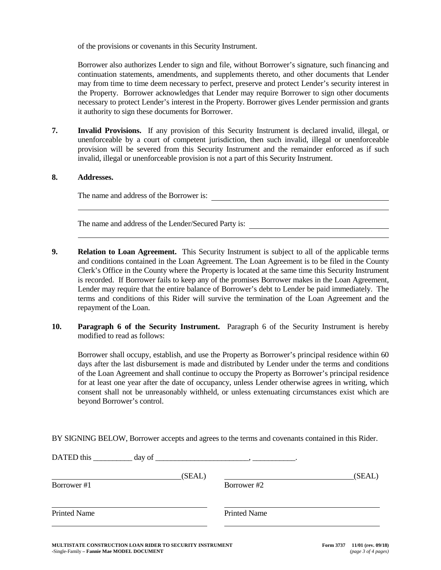of the provisions or covenants in this Security Instrument.

Borrower also authorizes Lender to sign and file, without Borrower's signature, such financing and continuation statements, amendments, and supplements thereto, and other documents that Lender may from time to time deem necessary to perfect, preserve and protect Lender's security interest in the Property. Borrower acknowledges that Lender may require Borrower to sign other documents necessary to protect Lender's interest in the Property. Borrower gives Lender permission and grants it authority to sign these documents for Borrower.

**7. Invalid Provisions.** If any provision of this Security Instrument is declared invalid, illegal, or unenforceable by a court of competent jurisdiction, then such invalid, illegal or unenforceable provision will be severed from this Security Instrument and the remainder enforced as if such invalid, illegal or unenforceable provision is not a part of this Security Instrument.

## **8. Addresses.**

The name and address of the Borrower is:

The name and address of the Lender/Secured Party is:

- **9. Relation to Loan Agreement.** This Security Instrument is subject to all of the applicable terms and conditions contained in the Loan Agreement. The Loan Agreement is to be filed in the County Clerk's Office in the County where the Property is located at the same time this Security Instrument is recorded. If Borrower fails to keep any of the promises Borrower makes in the Loan Agreement, Lender may require that the entire balance of Borrower's debt to Lender be paid immediately. The terms and conditions of this Rider will survive the termination of the Loan Agreement and the repayment of the Loan.
- **10. Paragraph 6 of the Security Instrument.** Paragraph 6 of the Security Instrument is hereby modified to read as follows:

Borrower shall occupy, establish, and use the Property as Borrower's principal residence within 60 days after the last disbursement is made and distributed by Lender under the terms and conditions of the Loan Agreement and shall continue to occupy the Property as Borrower's principal residence for at least one year after the date of occupancy, unless Lender otherwise agrees in writing, which consent shall not be unreasonably withheld, or unless extenuating circumstances exist which are beyond Borrower's control.

BY SIGNING BELOW, Borrower accepts and agrees to the terms and covenants contained in this Rider.

| Borrower #1         | (SEAL) | Borrower #2         | (SEAL) |
|---------------------|--------|---------------------|--------|
|                     |        |                     |        |
| <b>Printed Name</b> |        | <b>Printed Name</b> |        |